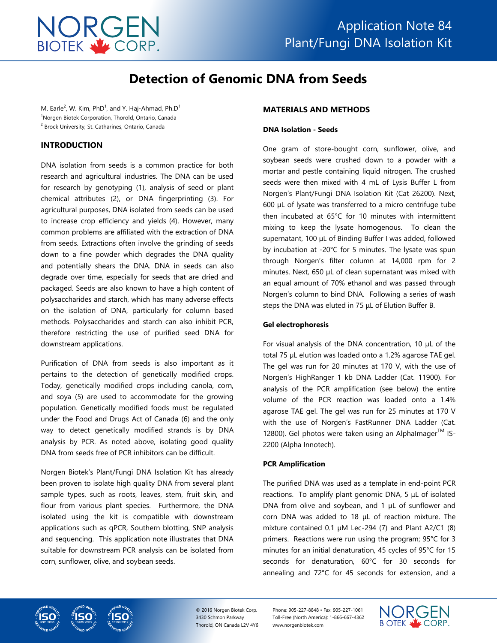

# **Detection of Genomic DNA from Seeds**

M. Earle<sup>2</sup>, W. Kim, PhD<sup>1</sup>, and Y. Haj-Ahmad, Ph.D<sup>1</sup> <sup>1</sup>Norgen Biotek Corporation, Thorold, Ontario, Canada <sup>2</sup> Brock University, St. Catharines, Ontario, Canada

## **INTRODUCTION**

DNA isolation from seeds is a common practice for both research and agricultural industries. The DNA can be used for research by genotyping (1), analysis of seed or plant chemical attributes (2), or DNA fingerprinting (3). For agricultural purposes, DNA isolated from seeds can be used to increase crop efficiency and yields (4). However, many common problems are affiliated with the extraction of DNA from seeds. Extractions often involve the grinding of seeds down to a fine powder which degrades the DNA quality and potentially shears the DNA. DNA in seeds can also degrade over time, especially for seeds that are dried and packaged. Seeds are also known to have a high content of polysaccharides and starch, which has many adverse effects on the isolation of DNA, particularly for column based methods. Polysaccharides and starch can also inhibit PCR, therefore restricting the use of purified seed DNA for downstream applications.

Purification of DNA from seeds is also important as it pertains to the detection of genetically modified crops. Today, genetically modified crops including canola, corn, and soya (5) are used to accommodate for the growing population. Genetically modified foods must be regulated under the Food and Drugs Act of Canada (6) and the only way to detect genetically modified strands is by DNA analysis by PCR. As noted above, isolating good quality DNA from seeds free of PCR inhibitors can be difficult.

Norgen Biotek's Plant/Fungi DNA Isolation Kit has already been proven to isolate high quality DNA from several plant sample types, such as roots, leaves, stem, fruit skin, and flour from various plant species. Furthermore, the DNA isolated using the kit is compatible with downstream applications such as qPCR, Southern blotting, SNP analysis and sequencing. This application note illustrates that DNA suitable for downstream PCR analysis can be isolated from corn, sunflower, olive, and soybean seeds.

#### **MATERIALS AND METHODS**

#### **DNA Isolation - Seeds**

One gram of store-bought corn, sunflower, olive, and soybean seeds were crushed down to a powder with a mortar and pestle containing liquid nitrogen. The crushed seeds were then mixed with 4 mL of Lysis Buffer L from Norgen's Plant/Fungi DNA Isolation Kit (Cat 26200). Next, 600 µL of lysate was transferred to a micro centrifuge tube then incubated at 65°C for 10 minutes with intermittent mixing to keep the lysate homogenous. To clean the supernatant, 100 µL of Binding Buffer I was added, followed by incubation at -20°C for 5 minutes. The lysate was spun through Norgen's filter column at 14,000 rpm for 2 minutes. Next, 650 µL of clean supernatant was mixed with an equal amount of 70% ethanol and was passed through Norgen's column to bind DNA. Following a series of wash steps the DNA was eluted in 75 μL of Elution Buffer B.

#### **Gel electrophoresis**

For visual analysis of the DNA concentration, 10 µL of the total 75 µL elution was loaded onto a 1.2% agarose TAE gel. The gel was run for 20 minutes at 170 V, with the use of Norgen's HighRanger 1 kb DNA Ladder (Cat. 11900). For analysis of the PCR amplification (see below) the entire volume of the PCR reaction was loaded onto a 1.4% agarose TAE gel. The gel was run for 25 minutes at 170 V with the use of Norgen's FastRunner DNA Ladder (Cat. 12800). Gel photos were taken using an Alphalmager<sup>TM</sup> IS-2200 (Alpha Innotech).

#### **PCR Amplification**

The purified DNA was used as a template in end-point PCR reactions. To amplify plant genomic DNA, 5 μL of isolated DNA from olive and soybean, and 1 µL of sunflower and corn DNA was added to 18 μL of reaction mixture. The mixture contained 0.1 µM Lec-294 (7) and Plant A2/C1 (8) primers. Reactions were run using the program; 95°C for 3 minutes for an initial denaturation, 45 cycles of 95°C for 15 seconds for denaturation, 60°C for 30 seconds for annealing and 72°C for 45 seconds for extension, and a





© 2016 Norgen Biotek Corp. 3430 Schmon Parkway Thorold, ON Canada L2V 4Y6 Phone: 905-227-8848 • Fax: 905-227-1061 Toll-Free (North America): 1-866-667-4362 www.norgenbiotek.com

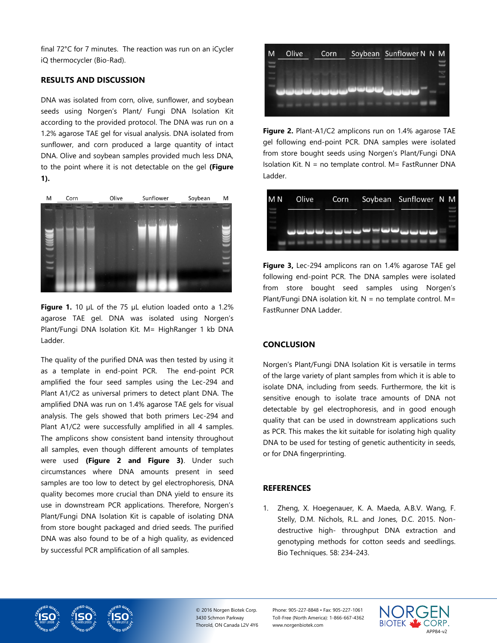final 72°C for 7 minutes. The reaction was run on an iCycler iQ thermocycler (Bio-Rad).

# **RESULTS AND DISCUSSION**

DNA was isolated from corn, olive, sunflower, and soybean seeds using Norgen's Plant/ Fungi DNA Isolation Kit according to the provided protocol. The DNA was run on a 1.2% agarose TAE gel for visual analysis. DNA isolated from sunflower, and corn produced a large quantity of intact DNA. Olive and soybean samples provided much less DNA, to the point where it is not detectable on the gel **(Figure 1).**



Figure 1. 10 µL of the 75 µL elution loaded onto a 1.2% agarose TAE gel. DNA was isolated using Norgen's Plant/Fungi DNA Isolation Kit. M= HighRanger 1 kb DNA Ladder.

The quality of the purified DNA was then tested by using it as a template in end-point PCR. The end-point PCR amplified the four seed samples using the Lec-294 and Plant A1/C2 as universal primers to detect plant DNA. The amplified DNA was run on 1.4% agarose TAE gels for visual analysis. The gels showed that both primers Lec-294 and Plant A1/C2 were successfully amplified in all 4 samples. The amplicons show consistent band intensity throughout all samples, even though different amounts of templates were used **(Figure 2 and Figure 3)**. Under such circumstances where DNA amounts present in seed samples are too low to detect by gel electrophoresis, DNA quality becomes more crucial than DNA yield to ensure its use in downstream PCR applications. Therefore, Norgen's Plant/Fungi DNA Isolation Kit is capable of isolating DNA from store bought packaged and dried seeds. The purified DNA was also found to be of a high quality, as evidenced by successful PCR amplification of all samples.



**Figure 2.** Plant-A1/C2 amplicons run on 1.4% agarose TAE gel following end-point PCR. DNA samples were isolated from store bought seeds using Norgen's Plant/Fungi DNA Isolation Kit.  $N = no$  template control.  $M = FastRunner DNA$ Ladder.



**Figure 3,** Lec-294 amplicons ran on 1.4% agarose TAE gel following end-point PCR. The DNA samples were isolated from store bought seed samples using Norgen's Plant/Fungi DNA isolation kit.  $N =$  no template control.  $M =$ FastRunner DNA Ladder.

### **CONCLUSION**

Norgen's Plant/Fungi DNA Isolation Kit is versatile in terms of the large variety of plant samples from which it is able to isolate DNA, including from seeds. Furthermore, the kit is sensitive enough to isolate trace amounts of DNA not detectable by gel electrophoresis, and in good enough quality that can be used in downstream applications such as PCR. This makes the kit suitable for isolating high quality DNA to be used for testing of genetic authenticity in seeds, or for DNA fingerprinting.

#### **REFERENCES**

1. Zheng, X. Hoegenauer, K. A. Maeda, A.B.V. Wang, F. Stelly, D.M. Nichols, R.L. and Jones, D.C. 2015. Nondestructive high- throughput DNA extraction and genotyping methods for cotton seeds and seedlings. Bio Techniques. 58: 234-243.





© 2016 Norgen Biotek Corp. 3430 Schmon Parkway Thorold, ON Canada L2V 4Y6 Phone: 905-227-8848 • Fax: 905-227-1061 Toll-Free (North America): 1-866-667-4362 www.norgenbiotek.com